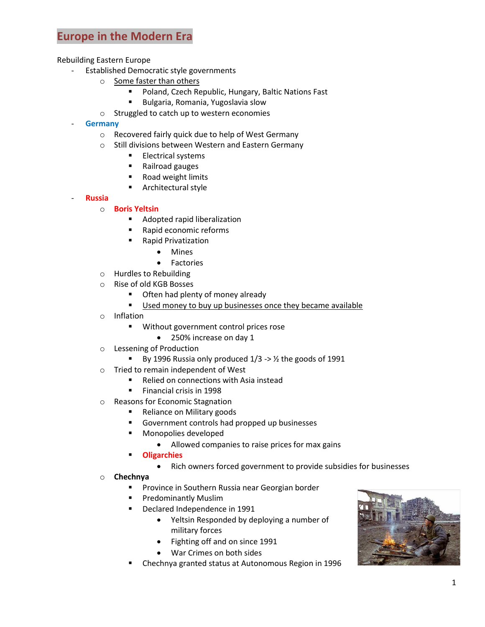## **Europe in the Modern Era**

Rebuilding Eastern Europe

- Established Democratic style governments
	- o Some faster than others
		- **Poland, Czech Republic, Hungary, Baltic Nations Fast**
		- Bulgaria, Romania, Yugoslavia slow
	- o Struggled to catch up to western economies
- **Germany**
	- o Recovered fairly quick due to help of West Germany
	- o Still divisions between Western and Eastern Germany
		- **Electrical systems**
		- Railroad gauges
		- Road weight limits
		- **Architectural style**
- **Russia**
	- o **Boris Yeltsin**
		- **Adopted rapid liberalization**
		- Rapid economic reforms
		- Rapid Privatization
			- Mines
			- Factories
	- o Hurdles to Rebuilding
	- o Rise of old KGB Bosses
		- **•** Often had plenty of money already
		- Used money to buy up businesses once they became available
	- o Inflation
		- **Without government control prices rose** 
			- 250% increase on day 1
	- o Lessening of Production
		- By 1996 Russia only produced  $1/3 \rightarrow \frac{1}{2}$  the goods of 1991
	- o Tried to remain independent of West
		- Relied on connections with Asia instead
		- **Financial crisis in 1998**
	- o Reasons for Economic Stagnation
		- Reliance on Military goods
		- Government controls had propped up businesses
		- **Monopolies developed** 
			- Allowed companies to raise prices for max gains
		- **Oligarchies**
			- Rich owners forced government to provide subsidies for businesses
	- o **Chechnya**
		- Province in Southern Russia near Georgian border
		- **Predominantly Muslim**
		- Declared Independence in 1991
			- Yeltsin Responded by deploying a number of military forces
				- Fighting off and on since 1991
			- War Crimes on both sides
		- Chechnya granted status at Autonomous Region in 1996

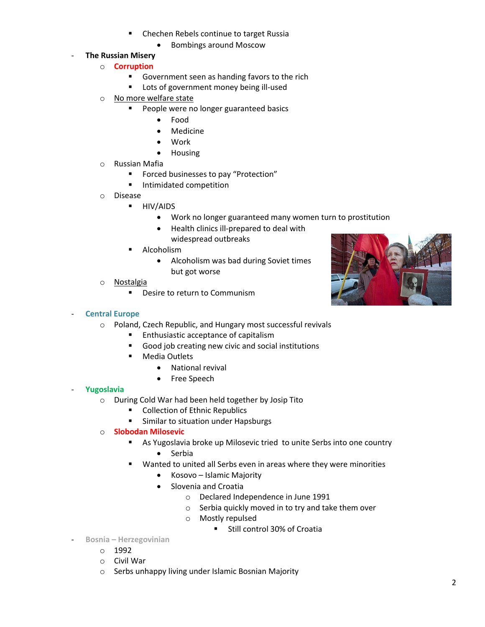- Chechen Rebels continue to target Russia
	- Bombings around Moscow
- **The Russian Misery**
	- o **Corruption**
		- Government seen as handing favors to the rich
		- **Lots of government money being ill-used**
	- o No more welfare state
		- People were no longer guaranteed basics
			- Food
			- Medicine
			- Work
			- Housing
	- o Russian Mafia
		- **Forced businesses to pay "Protection"**
		- **Intimidated competition**
	- o Disease
		- **HIV/AIDS** 
			- Work no longer guaranteed many women turn to prostitution
			- Health clinics ill-prepared to deal with widespread outbreaks
		- **Alcoholism** 
			- Alcoholism was bad during Soviet times but got worse
	- o Nostalgia
		- Desire to return to Communism



#### - **Central Europe**

- o Poland, Czech Republic, and Hungary most successful revivals
	- **Enthusiastic acceptance of capitalism**
	- Good job creating new civic and social institutions
	- **•** Media Outlets
		- National revival
		- Free Speech

#### - **Yugoslavia**

- o During Cold War had been held together by Josip Tito
	- **•** Collection of Ethnic Republics
	- **Similar to situation under Hapsburgs**
- o **Slobodan Milosevic**
	- As Yugoslavia broke up Milosevic tried to unite Serbs into one country
		- Serbia
	- Wanted to united all Serbs even in areas where they were minorities
		- Kosovo Islamic Majority
		- **•** Slovenia and Croatia
			- o Declared Independence in June 1991
			- o Serbia quickly moved in to try and take them over
			- o Mostly repulsed
				- Still control 30% of Croatia
- **Bosnia – Herzegovinian**
	- o 1992
	- o Civil War
	- o Serbs unhappy living under Islamic Bosnian Majority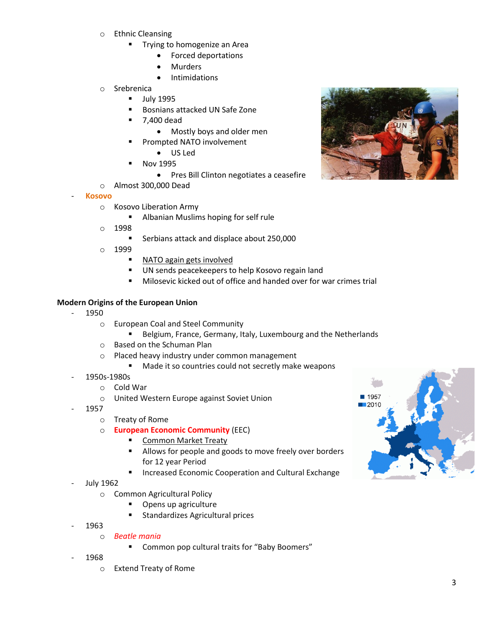- o Ethnic Cleansing
	- **Trying to homogenize an Area** 
		- Forced deportations
		- Murders
		- Intimidations
- o Srebrenica
	- **July 1995**
	- **Bosnians attacked UN Safe Zone**
	- 7,400 dead
		- Mostly boys and older men
		- Prompted NATO involvement
			- US Led
	- Nov 1995
		- Pres Bill Clinton negotiates a ceasefire
- o Almost 300,000 Dead
- **Kosovo**
	- o Kosovo Liberation Army
		- **Albanian Muslims hoping for self rule**
	- o 1998
		- **Serbians attack and displace about 250,000**
	- o 1999
		- NATO again gets involved
		- UN sends peacekeepers to help Kosovo regain land
		- Milosevic kicked out of office and handed over for war crimes trial

#### **Modern Origins of the European Union**

- 1950
	- o European Coal and Steel Community
		- Belgium, France, Germany, Italy, Luxembourg and the Netherlands
	- o Based on the Schuman Plan
	- o Placed heavy industry under common management
		- **Made it so countries could not secretly make weapons**
- 1950s-1980s
	- o Cold War
	- o United Western Europe against Soviet Union
- 1957
	- o Treaty of Rome
	- o **European Economic Community** (EEC)
		- **Common Market Treaty**
		- Allows for people and goods to move freely over borders for 12 year Period
		- **Increased Economic Cooperation and Cultural Exchange**
- July 1962
	- o Common Agricultural Policy
		- **•** Opens up agriculture
		- **Standardizes Agricultural prices**
- 1963
	- o *Beatle mania*
		- **EXECOMMON POP CULTER COMMON COMMON EXAMPLE THE COMMON COMMON FIG.**
- 1968
	- o Extend Treaty of Rome



■ 1957  $2010$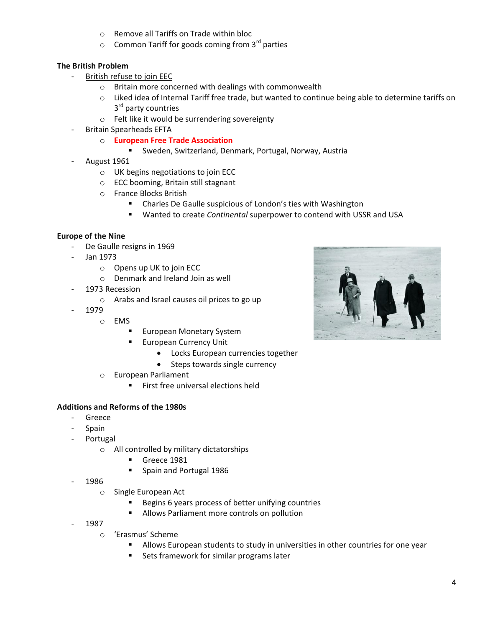- o Remove all Tariffs on Trade within bloc
- $\circ$  Common Tariff for goods coming from 3<sup>rd</sup> parties

#### **The British Problem**

- British refuse to join EEC
	- o Britain more concerned with dealings with commonwealth
	- o Liked idea of Internal Tariff free trade, but wanted to continue being able to determine tariffs on 3<sup>rd</sup> party countries
	- o Felt like it would be surrendering sovereignty
- Britain Spearheads EFTA
	- o **European Free Trade Association**
		- Sweden, Switzerland, Denmark, Portugal, Norway, Austria
- August 1961
	- o UK begins negotiations to join ECC
	- o ECC booming, Britain still stagnant
	- o France Blocks British
		- Charles De Gaulle suspicious of London's ties with Washington
		- Wanted to create *Continental* superpower to contend with USSR and USA

#### **Europe of the Nine**

- De Gaulle resigns in 1969
- Jan 1973
	- o Opens up UK to join ECC
	- o Denmark and Ireland Join as well
- 1973 Recession
	- o Arabs and Israel causes oil prices to go up
- 1979
	- o EMS
		- **European Monetary System**
		- **European Currency Unit** 
			- Locks European currencies together
			- Steps towards single currency
	- o European Parliament
		- **First free universal elections held**

#### **Additions and Reforms of the 1980s**

- **Greece**
- Spain
- Portugal
	- o All controlled by military dictatorships
		- Greece 1981
		- Spain and Portugal 1986
- 1986
	- o Single European Act
		- Begins 6 years process of better unifying countries
		- **Allows Parliament more controls on pollution**
- 1987
	- o 'Erasmus' Scheme
		- Allows European students to study in universities in other countries for one year
		- **Sets framework for similar programs later**

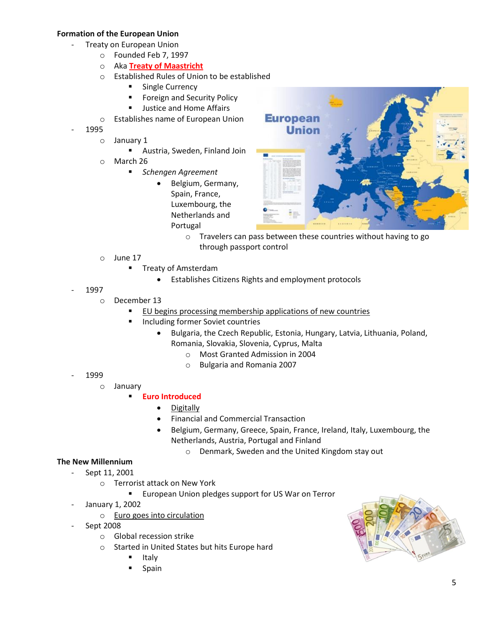#### **Formation of the European Union**

- Treaty on European Union
	- o Founded Feb 7, 1997
	- o Aka **Treaty of Maastricht**
	- o Established Rules of Union to be established
		- **Single Currency**
		- **Foreign and Security Policy**
		- **Justice and Home Affairs**
	- o Establishes name of European Union
- 1995
	- o January 1
		- Austria, Sweden, Finland Join
	- o March 26
		- *Schengen Agreement*
			- Belgium, Germany, Spain, France, Luxembourg, the Netherlands and Portugal



- o Travelers can pass between these countries without having to go through passport control
- o June 17
	- Treaty of Amsterdam
		- Establishes Citizens Rights and employment protocols
- 1997
	- o December 13
		- **EU begins processing membership applications of new countries**
		- **Including former Soviet countries** 
			- Bulgaria, the Czech Republic, Estonia, Hungary, Latvia, Lithuania, Poland, Romania, Slovakia, Slovenia, Cyprus, Malta
				- o Most Granted Admission in 2004
				- o Bulgaria and Romania 2007

- 1999
	- o January

### **Euro Introduced**

- Digitally
- Financial and Commercial Transaction
- Belgium, Germany, Greece, Spain, France, Ireland, Italy, Luxembourg, the Netherlands, Austria, Portugal and Finland
	- o Denmark, Sweden and the United Kingdom stay out

#### **The New Millennium**

- Sept 11, 2001
	- o Terrorist attack on New York
		- **European Union pledges support for US War on Terror**
- January 1, 2002
	- o Euro goes into circulation
- Sept 2008
	- o Global recession strike
	- o Started in United States but hits Europe hard
		- Italy
		- Spain